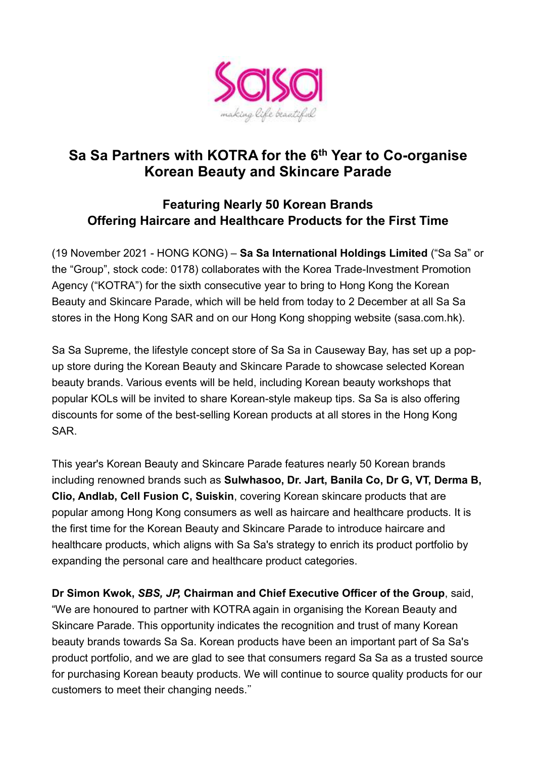

## **Sa Sa Partners with KOTRA for the 6th Year to Co-organise Korean Beauty and Skincare Parade**

## **Featuring Nearly 50 Korean Brands Offering Haircare and Healthcare Products for the First Time**

(19 November 2021 - HONG KONG) – **Sa Sa International Holdings Limited** ("Sa Sa" or the "Group", stock code: 0178) collaborates with the Korea Trade-Investment Promotion Agency ("KOTRA") for the sixth consecutive year to bring to Hong Kong the Korean Beauty and Skincare Parade, which will be held from today to 2 December at all Sa Sa stores in the Hong Kong SAR and on our Hong Kong shopping website (sasa.com.hk).

Sa Sa Supreme, the lifestyle concept store of Sa Sa in Causeway Bay, has set up a popup store during the Korean Beauty and Skincare Parade to showcase selected Korean beauty brands. Various events will be held, including Korean beauty workshops that popular KOLs will be invited to share Korean-style makeup tips. Sa Sa is also offering discounts for some of the best-selling Korean products at all stores in the Hong Kong SAR.

This year's Korean Beauty and Skincare Parade features nearly 50 Korean brands including renowned brands such as **Sulwhasoo, Dr. Jart, Banila Co, Dr G, VT, Derma B, Clio, Andlab, Cell Fusion C, Suiskin**, covering Korean skincare products that are popular among Hong Kong consumers as well as haircare and healthcare products. It is the first time for the Korean Beauty and Skincare Parade to introduce haircare and healthcare products, which aligns with Sa Sa's strategy to enrich its product portfolio by expanding the personal care and healthcare product categories.

**Dr Simon Kwok,** *SBS, JP,* **Chairman and Chief Executive Officer of the Group**, said, "We are honoured to partner with KOTRA again in organising the Korean Beauty and Skincare Parade. This opportunity indicates the recognition and trust of many Korean beauty brands towards Sa Sa. Korean products have been an important part of Sa Sa's product portfolio, and we are glad to see that consumers regard Sa Sa as a trusted source for purchasing Korean beauty products. We will continue to source quality products for our customers to meet their changing needs."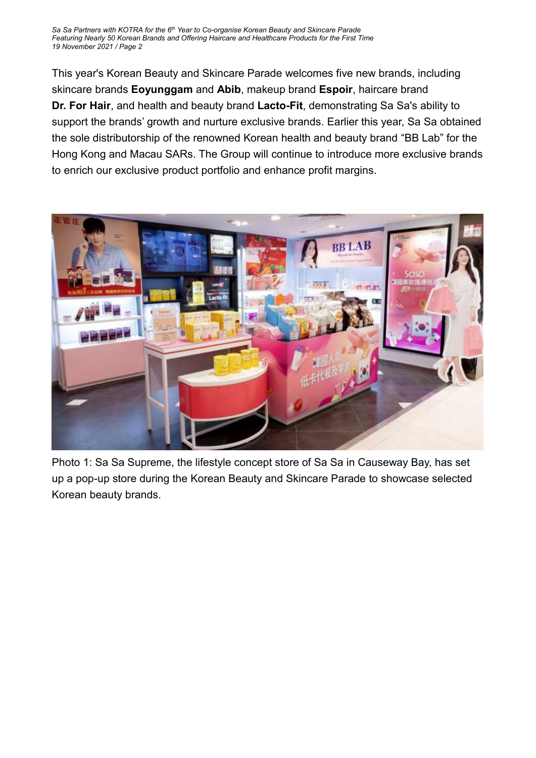*Sa Sa Partners with KOTRA for the 6 th Year to Co-organise Korean Beauty and Skincare Parade Featuring Nearly 50 Korean Brands and Offering Haircare and Healthcare Products for the First Time 19 November 2021 / Page 2*

This year's Korean Beauty and Skincare Parade welcomes five new brands, including skincare brands **Eoyunggam** and **Abib**, makeup brand **Espoir**, haircare brand **Dr. For Hair**, and health and beauty brand **Lacto-Fit**, demonstrating Sa Sa's ability to support the brands' growth and nurture exclusive brands. Earlier this year, Sa Sa obtained the sole distributorship of the renowned Korean health and beauty brand "BB Lab" for the Hong Kong and Macau SARs. The Group will continue to introduce more exclusive brands to enrich our exclusive product portfolio and enhance profit margins.



Photo 1: Sa Sa Supreme, the lifestyle concept store of Sa Sa in Causeway Bay, has set up a pop-up store during the Korean Beauty and Skincare Parade to showcase selected Korean beauty brands.